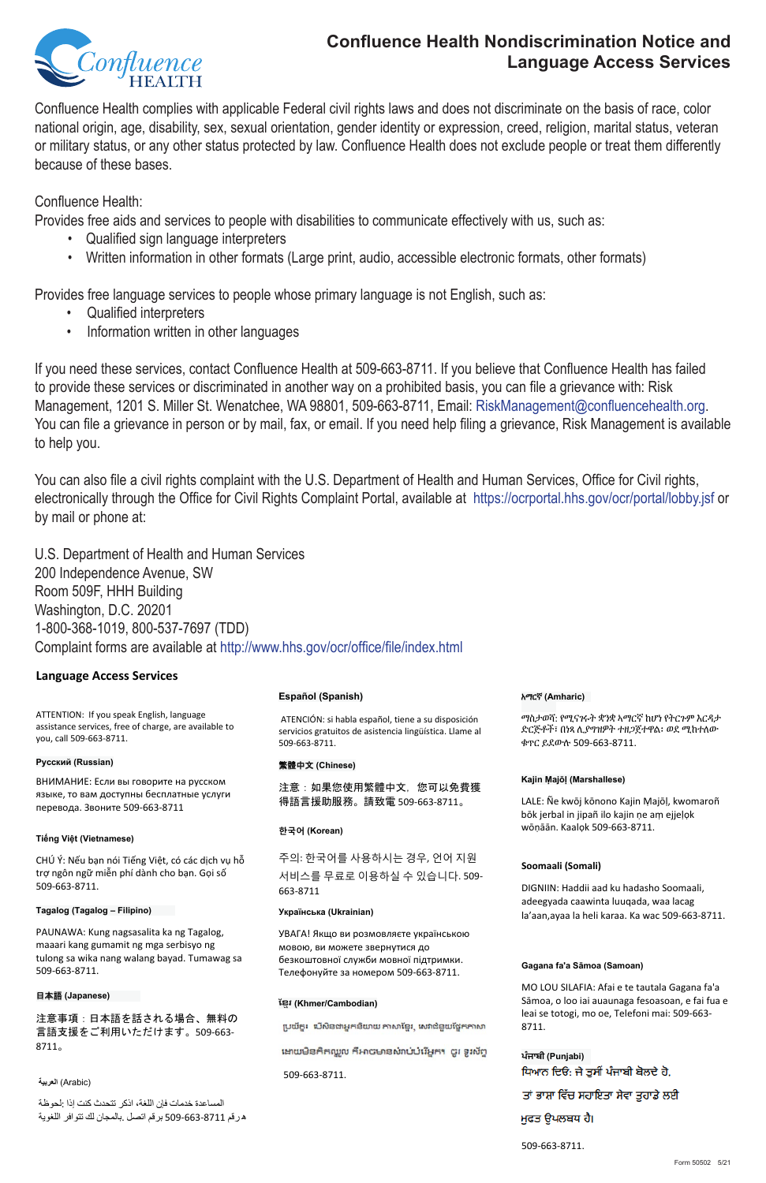Confluence Health complies with applicable Federal civil rights laws and does not discriminate on the basis of race, color national origin, age, disability, sex, sexual orientation, gender identity or expression, creed, religion, marital status, veteran or military status, or any other status protected by law. Confluence Health does not exclude people or treat them differently because of these bases.

Confluence Health:

Provides free aids and services to people with disabilities to communicate effectively with us, such as:

- Qualified sign language interpreters
- Written information in other formats (Large print, audio, accessible electronic formats, other formats)

- Qualified interpreters
- Information written in other languages

If you need these services, contact Confluence Health at 509-663-8711. If you believe that Confluence Health has failed to provide these services or discriminated in another way on a prohibited basis, you can file a grievance with: Risk **Русский (Russian)**  Management, 1201 S. Miller St. Wenatchee, WA 98801, 509-663-8711, Email: RiskManagement@confluencehealth.org. You can file a grievance in person or by mail, fax, or email. If you need help filing a grievance, Risk Management is available to help you. rance, non management to ara

You can also file a civil rights complaint with the U.S. Department of Health and Human Services, Office for Civil rights, electronically through the Office for Civil Rights Complaint Portal, available at https://ocrportal.hhs.gov/ocr/portal/lobby.jsf or by mail or phone at:  $\mathcal{F}$ crportal.nns.gov/ocr/portal/lobby.jsf o

U.S. Department of Health and Human Services 200 Independence Avenue, SW Room 509F, HHH Building Washington, D.C. 20201 1-800-368-1019, 800-537-7697 (TDD) Complaint forms are available at http://www.hhs.gov/ocr/office/file/index.html 509 <del>(</del> 1911)

> 주의: 한국어를 사용하시는 경우, 언어 지원  주의: 한국어를 사용하시는 경우, 언어 지원



# **Confluence Health Nondiscrimination Notice and Language Access Services**

#### አማርኛ **(Amharic)**   $\mathbb{R}^n$  and  $\mathbb{R}^n$  in  $\mathbb{R}^n$

ማስታወሻ: የሚናገሩት ቋንቋ ኣማርኛ ከሆነ የትርጉም እርዳታ ድርጅቶች፣ በነጻ ሊያግዝዎት ተዘጋጀተዋል፡ ወደ ሚከተለው ቁጥር ይደውሉ 509-663-8711.

Provides free language services to people whose primary language is not English, such as: **Language Access Services**

> **ਪੰਜਾਬੀ (Punjabi)**  ਧਿਆਨ ਦਿਓ: ਜੇ ਤੁਸੀਂ ਪੰਜਾਬੀ ਬੋਲਦੇ ਹੋ, ਤਾਂ ਭਾਸ਼ਾ ਵਿੱਚ ਸਹਾਇਤਾ ਸੇਵਾ ਤੁਹਾਡੇ ਲਈ

ਮੁਫਤ ਉਪਲਬਧ ਹੈ।

ATENCIÓN: si habla español, tiene a su disposición servicios gratuitos de asistencia lingüística. Llame al 509‐663‐8711. 509‐663‐8711. 509‐663‐8711.

서비스를 무료로 이용하실 수 있습니다. 509-663‐8711 ቁጥር ይደውሉ 509‐663‐8711. 663‐8711

LALE: Ñe kwōj kōnono Kajin Ṃajōḷ, kwomaroñ bōk jerbal in jipañ ilo kajin ṇe aṃ ejjeḷọk wōṇāān. Kaalọk 509‐663‐8711.

## **Language Access Services Language Access Services**

ATTENTION: If you speak English, language ATTENTION: If you speak English, language assistance services, free of charge, are available to assistance services, free of charge, are available to you, call 509‐663‐8711. you, call 509‐663‐8711.

### **Русский (Russian) Русский (Russian)**

ВНИМАНИЕ: Если вы говорите на русском ВНИМАНИЕ: Если вы говорите на русском языке, то вам доступны бесплатные услуги языке, то вам доступны бесплатные услуги перевода. Звоните 509‐663‐8711 перевода. Звоните 509‐663‐8711

## **Tiếng Việt (Vietnamese) Tiếng Việt (Vietnamese)**

CHÚ Ý: Nếu bạn nói Tiếng Việt, có các dịch vụ hỗ CHÚ Ý: Nếu bạn nói Tiếng Việt, có các dịch vụ hỗ

trợ ngôn ngữ miễn phí dành cho bạn. Gọi số trợ ngôn ngữ miễn phí dành cho bạn. Gọi số 509‐663‐8711. 509‐663‐8711.

**Tagalog (Tagalog – Filipino) Tagalog (Tagalog – Filipino)** 

PAUNAWA: Kung nagsasalita ka ng Tagalog, PAUNAWA: Kung nagsasalita ka ng Tagalog, maaari kang gumamit ng mga serbisyo ng maaari kang gumamit ng mga serbisyo ng tulong sa wika nang walang bayad. Tumawag sa tulong sa wika nang walang bayad. Tumawag sa 509‐663‐8711. 509‐663‐8711.

### 日本語 **(Japanese)**  日本語 **(Japanese)**

注意事項:日本語を話される場合、無料の 注意事項:日本語を話される場合、無料の 言語支援をご利用いただけます。509‐663‐ 言語支援をご利用いただけます。509‐663‐ 8711。 8711。

 (Arabic (**العربية** 

المساعدة خدمات فإن اللغة، اذكر تتحدث كنت إذا :لحوظة ه رقم 8711-663-509 برقم اتصل .بالمجان لك تتوافر اللغوية ማስታወሻ: የሚናገሩት ቋንቋ ኣማርኛ ከሆነ የትርጉም እርዳታ المساعدة خدمات فإن اللغة، اذكر تتحدث كنت إذا :لحوظة

## **Kajin Ṃajōḷ (Marshallese) ែខមរ (Khmer/Cambodian)**

# **Español (Spanish)**  PAUNAWA: Kung nagsasalita ka ng Tagalog, **Español (Spanish)**

### 繁體中文 **(Chinese)**  日本語 **(Japanese)**  繁體中文 **(Chinese)**

注意: 如果您使用繁體中文, 您可以免費獲 得語言援助服務。請致電 509‐663‐8711。

### **한국어 (Korean) 한국어 (Korean)**

#### **Українська (Ukrainian) Українська (Ukrainian)**

УВАГА! Якщо ви розмовляєте українською **Kajin Ṃajōḷ (Marshallese)**  мовою, ви можете звернутися до безкоштовної служби мовної підтримки. Телефонуйте за номером 509-663-8711. УВАГА! Якщо ви розмовляєте українською

### **ែខមរ (Khmer/Cambodian) ែខមរ (Khmer/Cambodian)**

ប្រយ័ត្ន៖ ហើសិនជាអ្នកនិយាយ កាសាខ្មែរ, សេវាជំនួយថ្ងៃកភាសា

ងោយមិនកិតឈ្លួល ក៏អាចមានសំរាប់បរិអ្នក។ ចូរ ទូរស័ព្ទ

### 509‐663‐8711. 509‐663‐8711.

#### **Soomaali (Somali)**

DIGNIIN: Haddii aad ku hadasho Soomaali, adeegyada caawinta luuqada, waa lacag la'aan,ayaa la heli karaa. Ka wac 509‐663‐8711.

#### **Gagana fa'a Sāmoa (Samoan)**

MO LOU SILAFIA: Afai e te tautala Gagana fa'a Sāmoa, o loo iai auaunaga fesoasoan, e fai fua e leai se totogi, mo oe, Telefoni mai: 509‐663‐ 8711.

509‐663‐8711.